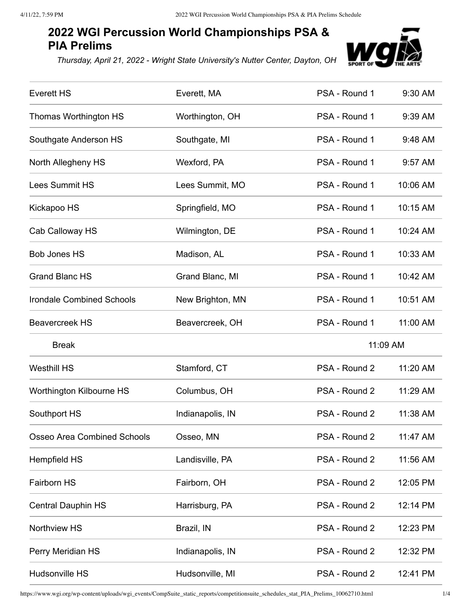## **2022 WGI Percussion World Championships PSA & PIA Prelims**

*Thursday, April 21, 2022 - Wright State University's Nutter Center, Dayton, OH*



| <b>Everett HS</b>                  | Everett, MA      | PSA - Round 1 | 9:30 AM  |  |
|------------------------------------|------------------|---------------|----------|--|
| Thomas Worthington HS              | Worthington, OH  | PSA - Round 1 | 9:39 AM  |  |
| Southgate Anderson HS              | Southgate, MI    | PSA - Round 1 | 9:48 AM  |  |
| North Allegheny HS                 | Wexford, PA      | PSA - Round 1 | 9:57 AM  |  |
| <b>Lees Summit HS</b>              | Lees Summit, MO  | PSA - Round 1 | 10:06 AM |  |
| Kickapoo HS                        | Springfield, MO  | PSA - Round 1 | 10:15 AM |  |
| Cab Calloway HS                    | Wilmington, DE   | PSA - Round 1 | 10:24 AM |  |
| <b>Bob Jones HS</b>                | Madison, AL      | PSA - Round 1 | 10:33 AM |  |
| <b>Grand Blanc HS</b>              | Grand Blanc, MI  | PSA - Round 1 | 10:42 AM |  |
| <b>Irondale Combined Schools</b>   | New Brighton, MN | PSA - Round 1 | 10:51 AM |  |
| <b>Beavercreek HS</b>              | Beavercreek, OH  | PSA - Round 1 | 11:00 AM |  |
| <b>Break</b>                       |                  |               | 11:09 AM |  |
| <b>Westhill HS</b>                 | Stamford, CT     | PSA - Round 2 | 11:20 AM |  |
| Worthington Kilbourne HS           |                  |               |          |  |
|                                    | Columbus, OH     | PSA - Round 2 | 11:29 AM |  |
| Southport HS                       | Indianapolis, IN | PSA - Round 2 | 11:38 AM |  |
| <b>Osseo Area Combined Schools</b> | Osseo, MN        | PSA - Round 2 | 11:47 AM |  |
| <b>Hempfield HS</b>                | Landisville, PA  | PSA - Round 2 | 11:56 AM |  |
| Fairborn HS                        | Fairborn, OH     | PSA - Round 2 | 12:05 PM |  |
| <b>Central Dauphin HS</b>          | Harrisburg, PA   | PSA - Round 2 | 12:14 PM |  |
| Northview HS                       | Brazil, IN       | PSA - Round 2 | 12:23 PM |  |
| Perry Meridian HS                  | Indianapolis, IN | PSA - Round 2 | 12:32 PM |  |

https://www.wgi.org/wp-content/uploads/wgi\_events/CompSuite\_static\_reports/competitionsuite\_schedules\_stat\_PIA\_Prelims\_10062710.html 1/4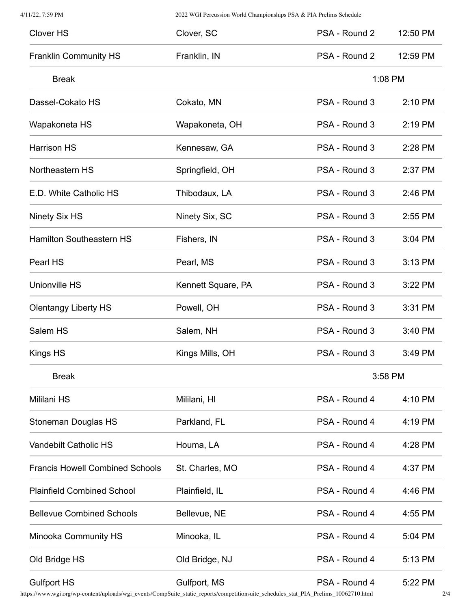4/11/22, 7:59 PM 2022 WGI Percussion World Championships PSA & PIA Prelims Schedule

| <b>Clover HS</b>                       | Clover, SC         | PSA - Round 2 | 12:50 PM |
|----------------------------------------|--------------------|---------------|----------|
| <b>Franklin Community HS</b>           | Franklin, IN       | PSA - Round 2 | 12:59 PM |
| <b>Break</b>                           |                    | 1:08 PM       |          |
| Dassel-Cokato HS                       | Cokato, MN         | PSA - Round 3 | 2:10 PM  |
| Wapakoneta HS                          | Wapakoneta, OH     | PSA - Round 3 | 2:19 PM  |
| <b>Harrison HS</b>                     | Kennesaw, GA       | PSA - Round 3 | 2:28 PM  |
| Northeastern HS                        | Springfield, OH    | PSA - Round 3 | 2:37 PM  |
| E.D. White Catholic HS                 | Thibodaux, LA      | PSA - Round 3 | 2:46 PM  |
| Ninety Six HS                          | Ninety Six, SC     | PSA - Round 3 | 2:55 PM  |
| <b>Hamilton Southeastern HS</b>        | Fishers, IN        | PSA - Round 3 | 3:04 PM  |
| Pearl HS                               | Pearl, MS          | PSA - Round 3 | 3:13 PM  |
| <b>Unionville HS</b>                   | Kennett Square, PA | PSA - Round 3 | 3:22 PM  |
| <b>Olentangy Liberty HS</b>            | Powell, OH         | PSA - Round 3 | 3:31 PM  |
| Salem HS                               | Salem, NH          | PSA - Round 3 | 3:40 PM  |
| Kings HS                               | Kings Mills, OH    | PSA - Round 3 | 3:49 PM  |
| <b>Break</b>                           |                    | 3:58 PM       |          |
| Mililani HS                            | Mililani, HI       | PSA - Round 4 | 4:10 PM  |
| Stoneman Douglas HS                    | Parkland, FL       | PSA - Round 4 | 4:19 PM  |
| Vandebilt Catholic HS                  | Houma, LA          | PSA - Round 4 | 4:28 PM  |
| <b>Francis Howell Combined Schools</b> | St. Charles, MO    | PSA - Round 4 | 4:37 PM  |
| <b>Plainfield Combined School</b>      | Plainfield, IL     | PSA - Round 4 | 4:46 PM  |
| <b>Bellevue Combined Schools</b>       | Bellevue, NE       | PSA - Round 4 | 4:55 PM  |
| Minooka Community HS                   | Minooka, IL        | PSA - Round 4 | 5:04 PM  |
| Old Bridge HS                          | Old Bridge, NJ     | PSA - Round 4 | 5:13 PM  |
| <b>Gulfport HS</b>                     | Gulfport, MS       | PSA - Round 4 | 5:22 PM  |

https://www.wgi.org/wp-content/uploads/wgi\_events/CompSuite\_static\_reports/competitionsuite\_schedules\_stat\_PIA\_Prelims\_10062710.html 2/4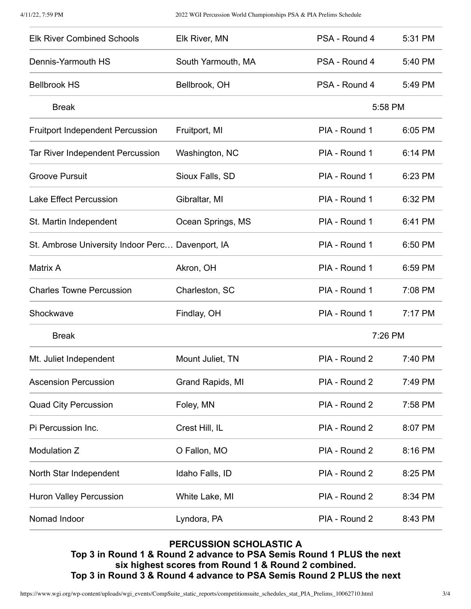| <b>Elk River Combined Schools</b>                | Elk River, MN      | PSA - Round 4 | 5:31 PM |
|--------------------------------------------------|--------------------|---------------|---------|
| Dennis-Yarmouth HS                               | South Yarmouth, MA | PSA - Round 4 | 5:40 PM |
| <b>Bellbrook HS</b>                              | Bellbrook, OH      | PSA - Round 4 | 5:49 PM |
| <b>Break</b>                                     |                    | 5:58 PM       |         |
| <b>Fruitport Independent Percussion</b>          | Fruitport, MI      | PIA - Round 1 | 6:05 PM |
| <b>Tar River Independent Percussion</b>          | Washington, NC     | PIA - Round 1 | 6:14 PM |
| <b>Groove Pursuit</b>                            | Sioux Falls, SD    | PIA - Round 1 | 6:23 PM |
| <b>Lake Effect Percussion</b>                    | Gibraltar, MI      | PIA - Round 1 | 6:32 PM |
| St. Martin Independent                           | Ocean Springs, MS  | PIA - Round 1 | 6:41 PM |
| St. Ambrose University Indoor Perc Davenport, IA |                    | PIA - Round 1 | 6:50 PM |
| Matrix A                                         | Akron, OH          | PIA - Round 1 | 6:59 PM |
| <b>Charles Towne Percussion</b>                  | Charleston, SC     | PIA - Round 1 | 7:08 PM |
| Shockwave                                        | Findlay, OH        | PIA - Round 1 | 7:17 PM |
| <b>Break</b>                                     |                    | 7:26 PM       |         |
| Mt. Juliet Independent                           | Mount Juliet, TN   | PIA - Round 2 | 7:40 PM |
| <b>Ascension Percussion</b>                      | Grand Rapids, MI   | PIA - Round 2 | 7:49 PM |
| <b>Quad City Percussion</b>                      | Foley, MN          | PIA - Round 2 | 7:58 PM |
| Pi Percussion Inc.                               | Crest Hill, IL     | PIA - Round 2 | 8:07 PM |
| Modulation Z                                     | O Fallon, MO       | PIA - Round 2 | 8:16 PM |
| North Star Independent                           | Idaho Falls, ID    | PIA - Round 2 | 8:25 PM |
| Huron Valley Percussion                          | White Lake, MI     | PIA - Round 2 | 8:34 PM |
| Nomad Indoor                                     | Lyndora, PA        | PIA - Round 2 | 8:43 PM |

## **PERCUSSION SCHOLASTIC A**

**Top 3 in Round 1 & Round 2 advance to PSA Semis Round 1 PLUS the next six highest scores from Round 1 & Round 2 combined. Top 3 in Round 3 & Round 4 advance to PSA Semis Round 2 PLUS the next**